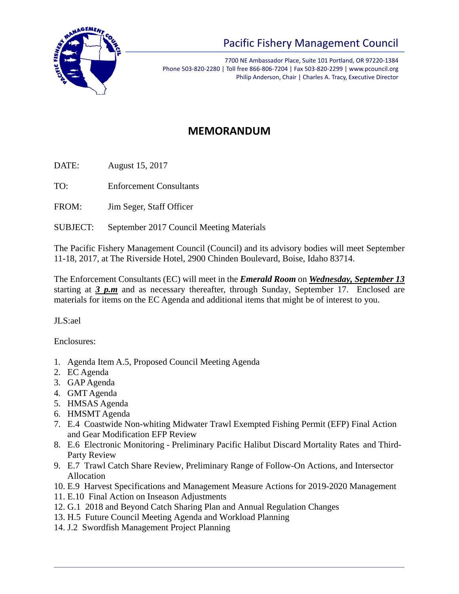

## Pacific Fishery Management Council

7700 NE Ambassador Place, Suite 101 Portland, OR 97220-1384 Phone 503-820-2280 | Toll free 866-806-7204 | Fax 503-820-2299 | www.pcouncil.org Philip Anderson, Chair | Charles A. Tracy, Executive Director

## **MEMORANDUM**

DATE: August 15, 2017

TO: Enforcement Consultants

FROM: Jim Seger, Staff Officer

SUBJECT: September 2017 Council Meeting Materials

The Pacific Fishery Management Council (Council) and its advisory bodies will meet September 11-18, 2017, at The Riverside Hotel, 2900 Chinden Boulevard, Boise, Idaho 83714.

The Enforcement Consultants (EC) will meet in the *Emerald Room* on *Wednesday, September 13*  starting at *3 p.m* and as necessary thereafter, through Sunday, September 17. Enclosed are materials for items on the EC Agenda and additional items that might be of interest to you.

JLS:ael

Enclosures:

- 1. Agenda Item A.5, Proposed Council Meeting Agenda
- 2. EC Agenda
- 3. GAP Agenda
- 4. GMT Agenda
- 5. HMSAS Agenda
- 6. HMSMT Agenda
- 7. E.4 Coastwide Non-whiting Midwater Trawl Exempted Fishing Permit (EFP) Final Action and Gear Modification EFP Review
- 8. E.6 Electronic Monitoring Preliminary Pacific Halibut Discard Mortality Rates and Third-Party Review
- 9. E.7 Trawl Catch Share Review, Preliminary Range of Follow-On Actions, and Intersector Allocation
- 10. E.9 Harvest Specifications and Management Measure Actions for 2019-2020 Management
- 11. E.10 Final Action on Inseason Adjustments
- 12. G.1 2018 and Beyond Catch Sharing Plan and Annual Regulation Changes
- 13. H.5 Future Council Meeting Agenda and Workload Planning
- 14. J.2 Swordfish Management Project Planning